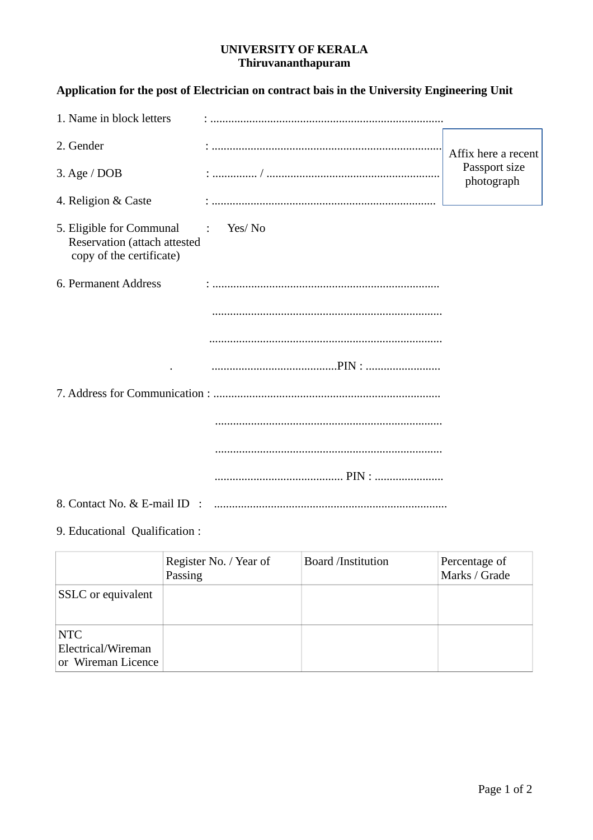### **UNIVERSITY OF KERALA Thiruvananthapuram**

# **Application for the post of Electrician on contract bais in the University Engineering Unit**

| 1. Name in block letters                                                                          |                                  |                             |
|---------------------------------------------------------------------------------------------------|----------------------------------|-----------------------------|
| 2. Gender                                                                                         |                                  | Affix here a recent         |
| 3. Age / $DOB$                                                                                    |                                  | Passport size<br>photograph |
| 4. Religion & Caste                                                                               | : ……………………………………………………………………………… |                             |
| 5. Eligible for Communal<br>$\sim$ 1.<br>Reservation (attach attested<br>copy of the certificate) | Yes/No                           |                             |
| 6. Permanent Address                                                                              |                                  |                             |
|                                                                                                   |                                  |                             |
|                                                                                                   |                                  |                             |
|                                                                                                   |                                  |                             |
|                                                                                                   |                                  |                             |
|                                                                                                   |                                  |                             |
|                                                                                                   |                                  |                             |
|                                                                                                   |                                  |                             |
| 8. Contact No. & E-mail ID :                                                                      |                                  |                             |

# 9. Educational Qualification :

|                                                        | Register No. / Year of<br>Passing | <b>Board /Institution</b> | Percentage of<br>Marks / Grade |
|--------------------------------------------------------|-----------------------------------|---------------------------|--------------------------------|
| SSLC or equivalent                                     |                                   |                           |                                |
| <b>NTC</b><br>Electrical/Wireman<br>or Wireman Licence |                                   |                           |                                |